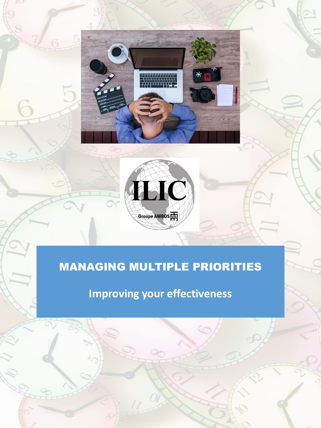



# MANAGING MULTIPLE PRIORITIES

**Improving your effectiveness**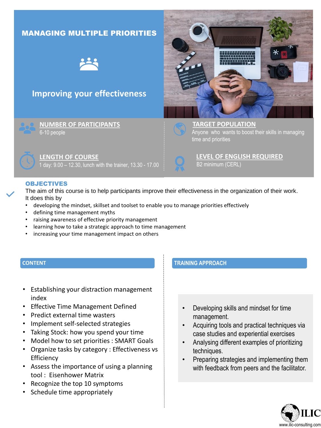### MANAGING MULTIPLE PRIORITIES



## **Improving your effectiveness**



**NUMBER OF PARTICIPANTS** 6-10 people



**TARGET POPULATION** Anyone who wants to boost their skills in managing time and priorities



**LEVEL OF ENGLISH REQUIRED** B2 minimum (CERL)

#### OBJECTIVES

The aim of this course is to help participants improve their effectiveness in the organization of their work. It does this by

- developing the mindset, skillset and toolset to enable you to manage priorities effectively
- defining time management myths

**LENGTH OF COURSE**

- raising awareness of effective priority management
- learning how to take a strategic approach to time management

1 day: 9.00 – 12.30, lunch with the trainer, 13.30 - 17.00

• increasing your time management impact on others

#### **CONTENT**

- Establishing your distraction management index
- Effective Time Management Defined
- Predict external time wasters
- Implement self-selected strategies
- Taking Stock: how you spend your time
- Model how to set priorities : SMART Goals
- Organize tasks by category : Effectiveness vs **Efficiency**
- Assess the importance of using a planning tool : Eisenhower Matrix
- Recognize the top 10 symptoms
- Schedule time appropriately

#### **TRAINING APPROACH**

- Developing skills and mindset for time management.
- Acquiring tools and practical techniques via case studies and experiential exercises
- Analysing different examples of prioritizing techniques.
- Preparing strategies and implementing them with feedback from peers and the facilitator.